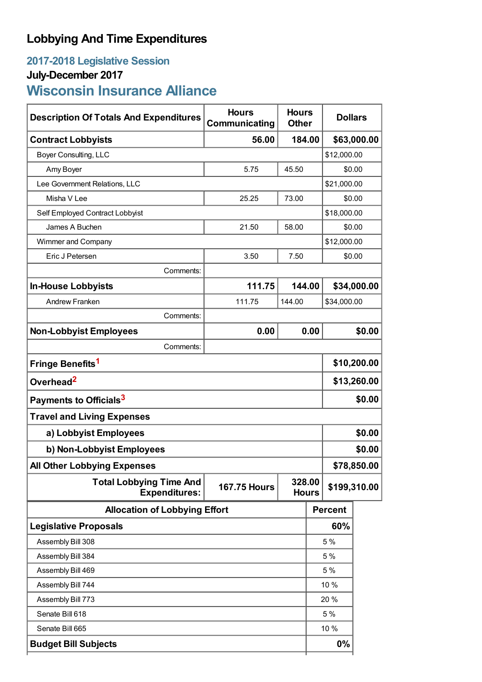## **Lobbying And Time Expenditures**

## **2017-2018 Legislative Session**

## **July-December 2017**

# **Wisconsin Insurance Alliance**

| <b>Description Of Totals And Expenditures</b>          | <b>Hours</b><br>Communicating | <b>Hours</b><br><b>Other</b> | <b>Dollars</b> |                |             |  |
|--------------------------------------------------------|-------------------------------|------------------------------|----------------|----------------|-------------|--|
| <b>Contract Lobbyists</b>                              | 56.00                         |                              | 184.00         |                | \$63,000.00 |  |
| Boyer Consulting, LLC                                  |                               |                              |                | \$12,000.00    |             |  |
| Amy Boyer                                              | 5.75                          | 45.50                        |                | \$0.00         |             |  |
| Lee Government Relations, LLC                          |                               |                              |                | \$21,000.00    |             |  |
| Misha V Lee                                            | 73.00<br>25.25                |                              |                | \$0.00         |             |  |
| Self Employed Contract Lobbyist                        |                               |                              |                | \$18,000.00    |             |  |
| James A Buchen                                         | 21.50                         | 58.00                        |                | \$0.00         |             |  |
| Wimmer and Company                                     |                               |                              |                | \$12,000.00    |             |  |
| Eric J Petersen                                        | 3.50                          | 7.50                         |                | \$0.00         |             |  |
| Comments:                                              |                               |                              |                |                |             |  |
| <b>In-House Lobbyists</b>                              | 111.75                        | 144.00                       |                | \$34,000.00    |             |  |
| Andrew Franken                                         | 111.75                        | 144.00                       |                | \$34,000.00    |             |  |
| Comments:                                              |                               |                              |                |                |             |  |
| <b>Non-Lobbyist Employees</b>                          | 0.00                          |                              | 0.00           |                | \$0.00      |  |
| Comments:                                              |                               |                              |                |                |             |  |
| Fringe Benefits <sup>1</sup>                           |                               |                              |                | \$10,200.00    |             |  |
| Overhead <sup>2</sup>                                  |                               |                              |                | \$13,260.00    |             |  |
| Payments to Officials <sup>3</sup>                     |                               |                              |                | \$0.00         |             |  |
| <b>Travel and Living Expenses</b>                      |                               |                              |                |                |             |  |
| a) Lobbyist Employees                                  |                               |                              |                |                | \$0.00      |  |
| b) Non-Lobbyist Employees                              |                               |                              |                | \$0.00         |             |  |
| <b>All Other Lobbying Expenses</b>                     |                               |                              |                | \$78,850.00    |             |  |
| <b>Total Lobbying Time And</b><br><b>Expenditures:</b> | <b>167.75 Hours</b>           | 328.00<br><b>Hours</b>       |                | \$199,310.00   |             |  |
| <b>Allocation of Lobbying Effort</b>                   |                               |                              |                | <b>Percent</b> |             |  |
| <b>Legislative Proposals</b>                           |                               |                              |                | 60%            |             |  |
| Assembly Bill 308                                      |                               |                              |                | 5 %            |             |  |
| Assembly Bill 384                                      |                               |                              |                | 5 %            |             |  |
| Assembly Bill 469                                      |                               |                              |                | 5 %            |             |  |
| Assembly Bill 744                                      |                               |                              |                | 10 %           |             |  |
| Assembly Bill 773                                      |                               |                              |                | 20 %           |             |  |
| Senate Bill 618                                        |                               |                              |                | 5 %            |             |  |
| Senate Bill 665                                        |                               |                              |                | 10 %           |             |  |
| <b>Budget Bill Subjects</b>                            |                               |                              |                | 0%             |             |  |